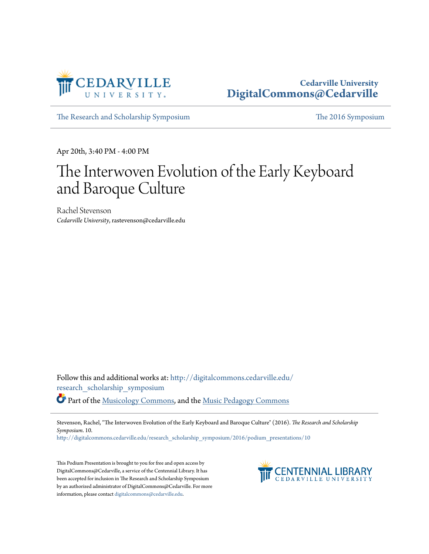

#### **Cedarville University [DigitalCommons@Cedarville](http://digitalcommons.cedarville.edu?utm_source=digitalcommons.cedarville.edu%2Fresearch_scholarship_symposium%2F2016%2Fpodium_presentations%2F10&utm_medium=PDF&utm_campaign=PDFCoverPages)**

[The Research and Scholarship Symposium](http://digitalcommons.cedarville.edu/research_scholarship_symposium?utm_source=digitalcommons.cedarville.edu%2Fresearch_scholarship_symposium%2F2016%2Fpodium_presentations%2F10&utm_medium=PDF&utm_campaign=PDFCoverPages) [The 2016 Symposium](http://digitalcommons.cedarville.edu/research_scholarship_symposium/2016?utm_source=digitalcommons.cedarville.edu%2Fresearch_scholarship_symposium%2F2016%2Fpodium_presentations%2F10&utm_medium=PDF&utm_campaign=PDFCoverPages)

Apr 20th, 3:40 PM - 4:00 PM

# The Interwoven Evolution of the Early Keyboard and Baroque Culture

Rachel Stevenson *Cedarville University*, rastevenson@cedarville.edu

Follow this and additional works at: [http://digitalcommons.cedarville.edu/](http://digitalcommons.cedarville.edu/research_scholarship_symposium?utm_source=digitalcommons.cedarville.edu%2Fresearch_scholarship_symposium%2F2016%2Fpodium_presentations%2F10&utm_medium=PDF&utm_campaign=PDFCoverPages) [research\\_scholarship\\_symposium](http://digitalcommons.cedarville.edu/research_scholarship_symposium?utm_source=digitalcommons.cedarville.edu%2Fresearch_scholarship_symposium%2F2016%2Fpodium_presentations%2F10&utm_medium=PDF&utm_campaign=PDFCoverPages)

Part of the [Musicology Commons,](http://network.bepress.com/hgg/discipline/521?utm_source=digitalcommons.cedarville.edu%2Fresearch_scholarship_symposium%2F2016%2Fpodium_presentations%2F10&utm_medium=PDF&utm_campaign=PDFCoverPages) and the [Music Pedagogy Commons](http://network.bepress.com/hgg/discipline/1129?utm_source=digitalcommons.cedarville.edu%2Fresearch_scholarship_symposium%2F2016%2Fpodium_presentations%2F10&utm_medium=PDF&utm_campaign=PDFCoverPages)

Stevenson, Rachel, "The Interwoven Evolution of the Early Keyboard and Baroque Culture" (2016). *The Research and Scholarship Symposium*. 10.

[http://digitalcommons.cedarville.edu/research\\_scholarship\\_symposium/2016/podium\\_presentations/10](http://digitalcommons.cedarville.edu/research_scholarship_symposium/2016/podium_presentations/10?utm_source=digitalcommons.cedarville.edu%2Fresearch_scholarship_symposium%2F2016%2Fpodium_presentations%2F10&utm_medium=PDF&utm_campaign=PDFCoverPages)

This Podium Presentation is brought to you for free and open access by DigitalCommons@Cedarville, a service of the Centennial Library. It has been accepted for inclusion in The Research and Scholarship Symposium by an authorized administrator of DigitalCommons@Cedarville. For more information, please contact [digitalcommons@cedarville.edu.](mailto:digitalcommons@cedarville.edu)

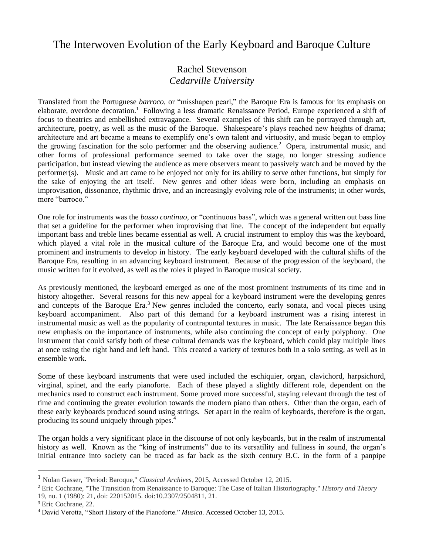## The Interwoven Evolution of the Early Keyboard and Baroque Culture

#### Rachel Stevenson *Cedarville University*

Translated from the Portuguese *barroco*, or "misshapen pearl," the Baroque Era is famous for its emphasis on elaborate, overdone decoration.<sup>1</sup> Following a less dramatic Renaissance Period, Europe experienced a shift of focus to theatrics and embellished extravagance. Several examples of this shift can be portrayed through art, architecture, poetry, as well as the music of the Baroque. Shakespeare's plays reached new heights of drama; architecture and art became a means to exemplify one's own talent and virtuosity, and music began to employ the growing fascination for the solo performer and the observing audience.<sup>2</sup> Opera, instrumental music, and other forms of professional performance seemed to take over the stage, no longer stressing audience participation, but instead viewing the audience as mere observers meant to passively watch and be moved by the performer(s). Music and art came to be enjoyed not only for its ability to serve other functions, but simply for the sake of enjoying the art itself. New genres and other ideas were born, including an emphasis on improvisation, dissonance, rhythmic drive, and an increasingly evolving role of the instruments; in other words, more "barroco."

One role for instruments was the *basso continuo*, or "continuous bass", which was a general written out bass line that set a guideline for the performer when improvising that line. The concept of the independent but equally important bass and treble lines became essential as well. A crucial instrument to employ this was the keyboard, which played a vital role in the musical culture of the Baroque Era, and would become one of the most prominent and instruments to develop in history. The early keyboard developed with the cultural shifts of the Baroque Era, resulting in an advancing keyboard instrument. Because of the progression of the keyboard, the music written for it evolved, as well as the roles it played in Baroque musical society.

As previously mentioned, the keyboard emerged as one of the most prominent instruments of its time and in history altogether. Several reasons for this new appeal for a keyboard instrument were the developing genres and concepts of the Baroque Era.<sup>3</sup> New genres included the concerto, early sonata, and vocal pieces using keyboard accompaniment. Also part of this demand for a keyboard instrument was a rising interest in instrumental music as well as the popularity of contrapuntal textures in music. The late Renaissance began this new emphasis on the importance of instruments, while also continuing the concept of early polyphony. One instrument that could satisfy both of these cultural demands was the keyboard, which could play multiple lines at once using the right hand and left hand. This created a variety of textures both in a solo setting, as well as in ensemble work.

Some of these keyboard instruments that were used included the eschiquier, organ, clavichord, harpsichord, virginal, spinet, and the early pianoforte. Each of these played a slightly different role, dependent on the mechanics used to construct each instrument. Some proved more successful, staying relevant through the test of time and continuing the greater evolution towards the modern piano than others. Other than the organ, each of these early keyboards produced sound using strings. Set apart in the realm of keyboards, therefore is the organ, producing its sound uniquely through pipes.<sup>4</sup>

The organ holds a very significant place in the discourse of not only keyboards, but in the realm of instrumental history as well. Known as the "king of instruments" due to its versatility and fullness in sound, the organ's initial entrance into society can be traced as far back as the sixth century B.C. in the form of a panpipe

<sup>1</sup> Nolan Gasser, "Period: Baroque," *Classical Archives*, 2015, Accessed October 12, 2015.

<sup>2</sup> Eric Cochrane, "The Transition from Renaissance to Baroque: The Case of Italian Historiography." *History and Theory* 19, no. 1 (1980): 21, doi: 220152015. doi:10.2307/2504811, 21.

<sup>3</sup> Eric Cochrane, 22.

<sup>4</sup> David Verotta, "Short History of the Pianoforte." *Musica*. Accessed October 13, 2015.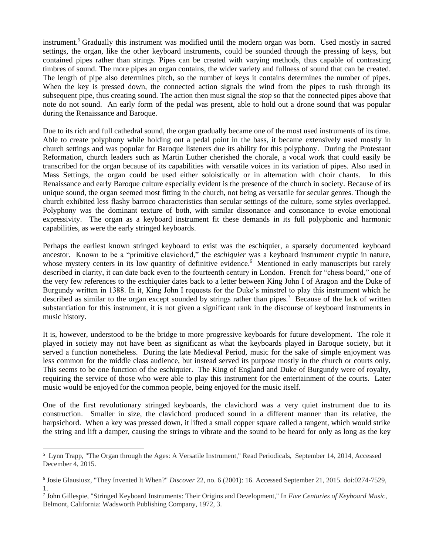instrument. <sup>5</sup> Gradually this instrument was modified until the modern organ was born. Used mostly in sacred settings, the organ, like the other keyboard instruments, could be sounded through the pressing of keys, but contained pipes rather than strings. Pipes can be created with varying methods, thus capable of contrasting timbres of sound. The more pipes an organ contains, the wider variety and fullness of sound that can be created. The length of pipe also determines pitch, so the number of keys it contains determines the number of pipes. When the key is pressed down, the connected action signals the wind from the pipes to rush through its subsequent pipe, thus creating sound. The action then must signal the *stop* so that the connected pipes above that note do not sound. An early form of the pedal was present, able to hold out a drone sound that was popular during the Renaissance and Baroque.

Due to its rich and full cathedral sound, the organ gradually became one of the most used instruments of its time. Able to create polyphony while holding out a pedal point in the bass, it became extensively used mostly in church settings and was popular for Baroque listeners due its ability for this polyphony. During the Protestant Reformation, church leaders such as Martin Luther cherished the chorale, a vocal work that could easily be transcribed for the organ because of its capabilities with versatile voices in its variation of pipes. Also used in Mass Settings, the organ could be used either soloistically or in alternation with choir chants. In this Renaissance and early Baroque culture especially evident is the presence of the church in society. Because of its unique sound, the organ seemed most fitting in the church, not being as versatile for secular genres. Though the church exhibited less flashy barroco characteristics than secular settings of the culture, some styles overlapped. Polyphony was the dominant texture of both, with similar dissonance and consonance to evoke emotional expressivity. The organ as a keyboard instrument fit these demands in its full polyphonic and harmonic capabilities, as were the early stringed keyboards.

Perhaps the earliest known stringed keyboard to exist was the eschiquier, a sparsely documented keyboard ancestor. Known to be a "primitive clavichord," the *eschiquier* was a keyboard instrument cryptic in nature, whose mystery centers in its low quantity of definitive evidence.<sup>6</sup> Mentioned in early manuscripts but rarely described in clarity, it can date back even to the fourteenth century in London. French for "chess board," one of the very few references to the eschiquier dates back to a letter between King John I of Aragon and the Duke of Burgundy written in 1388. In it, King John I requests for the Duke's minstrel to play this instrument which he described as similar to the organ except sounded by strings rather than pipes.<sup>7</sup> Because of the lack of written substantiation for this instrument, it is not given a significant rank in the discourse of keyboard instruments in music history.

It is, however, understood to be the bridge to more progressive keyboards for future development. The role it played in society may not have been as significant as what the keyboards played in Baroque society, but it served a function nonetheless. During the late Medieval Period, music for the sake of simple enjoyment was less common for the middle class audience, but instead served its purpose mostly in the church or courts only. This seems to be one function of the eschiquier. The King of England and Duke of Burgundy were of royalty, requiring the service of those who were able to play this instrument for the entertainment of the courts. Later music would be enjoyed for the common people, being enjoyed for the music itself.

One of the first revolutionary stringed keyboards, the clavichord was a very quiet instrument due to its construction. Smaller in size, the clavichord produced sound in a different manner than its relative, the harpsichord. When a key was pressed down, it lifted a small copper square called a tangent, which would strike the string and lift a damper, causing the strings to vibrate and the sound to be heard for only as long as the key

<sup>5</sup> Lynn Trapp, "The Organ through the Ages: A Versatile Instrument," Read Periodicals, September 14, 2014, Accessed December 4, 2015.

<sup>6</sup> Josie Glausiusz, "They Invented It When?" *Discover* 22, no. 6 (2001): 16. Accessed September 21, 2015. doi:0274-7529, 1.

<sup>7</sup> John Gillespie, "Stringed Keyboard Instruments: Their Origins and Development," In *Five Centuries of Keyboard Music*, Belmont, California: Wadsworth Publishing Company, 1972, 3.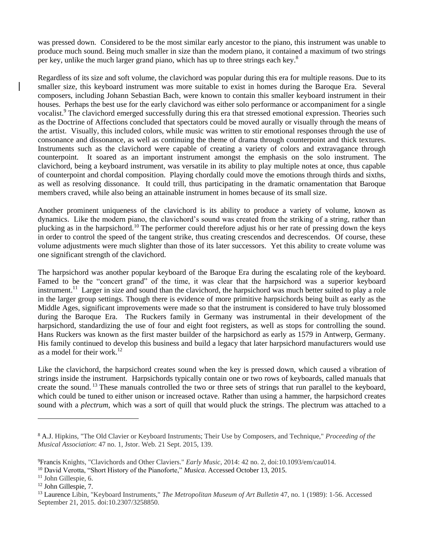was pressed down. Considered to be the most similar early ancestor to the piano, this instrument was unable to produce much sound. Being much smaller in size than the modern piano, it contained a maximum of two strings per key, unlike the much larger grand piano, which has up to three strings each key.<sup>8</sup>

Regardless of its size and soft volume, the clavichord was popular during this era for multiple reasons. Due to its smaller size, this keyboard instrument was more suitable to exist in homes during the Baroque Era. Several composers, including Johann Sebastian Bach, were known to contain this smaller keyboard instrument in their houses. Perhaps the best use for the early clavichord was either solo performance or accompaniment for a single vocalist.<sup>9</sup> The clavichord emerged successfully during this era that stressed emotional expression. Theories such as the Doctrine of Affections concluded that spectators could be moved aurally or visually through the means of the artist. Visually, this included colors, while music was written to stir emotional responses through the use of consonance and dissonance, as well as continuing the theme of drama through counterpoint and thick textures. Instruments such as the clavichord were capable of creating a variety of colors and extravagance through counterpoint. It soared as an important instrument amongst the emphasis on the solo instrument. The clavichord, being a keyboard instrument, was versatile in its ability to play multiple notes at once, thus capable of counterpoint and chordal composition. Playing chordally could move the emotions through thirds and sixths, as well as resolving dissonance. It could trill, thus participating in the dramatic ornamentation that Baroque members craved, while also being an attainable instrument in homes because of its small size.

Another prominent uniqueness of the clavichord is its ability to produce a variety of volume, known as dynamics. Like the modern piano, the clavichord's sound was created from the striking of a string, rather than plucking as in the harpsichord.<sup>10</sup> The performer could therefore adjust his or her rate of pressing down the keys in order to control the speed of the tangent strike, thus creating crescendos and decrescendos. Of course, these volume adjustments were much slighter than those of its later successors. Yet this ability to create volume was one significant strength of the clavichord.

The harpsichord was another popular keyboard of the Baroque Era during the escalating role of the keyboard. Famed to be the "concert grand" of the time, it was clear that the harpsichord was a superior keyboard instrument.<sup>11</sup> Larger in size and sound than the clavichord, the harpsichord was much better suited to play a role in the larger group settings. Though there is evidence of more primitive harpsichords being built as early as the Middle Ages, significant improvements were made so that the instrument is considered to have truly blossomed during the Baroque Era. The Ruckers family in Germany was instrumental in their development of the harpsichord, standardizing the use of four and eight foot registers, as well as stops for controlling the sound. Hans Ruckers was known as the first master builder of the harpsichord as early as 1579 in Antwerp, Germany. His family continued to develop this business and build a legacy that later harpsichord manufacturers would use as a model for their work.<sup>12</sup>

Like the clavichord, the harpsichord creates sound when the key is pressed down, which caused a vibration of strings inside the instrument. Harpsichords typically contain one or two rows of keyboards, called manuals that create the sound. <sup>13</sup> These manuals controlled the two or three sets of strings that run parallel to the keyboard, which could be tuned to either unison or increased octave. Rather than using a hammer, the harpsichord creates sound with a *plectrum*, which was a sort of quill that would pluck the strings. The plectrum was attached to a

<sup>8</sup> A.J. Hipkins, "The Old Clavier or Keyboard Instruments; Their Use by Composers, and Technique," *Proceeding of the Musical Association*: 47 no. 1, Jstor. Web. 21 Sept. 2015, 139.

<sup>9</sup>Francis Knights, "Clavichords and Other Claviers." *Early Music*, 2014: 42 no. 2, doi:10.1093/em/cau014.

<sup>&</sup>lt;sup>10</sup> David Verotta, "Short History of the Pianoforte," *Musica*. Accessed October 13, 2015.

<sup>11</sup> John Gillespie, 6.

<sup>12</sup> John Gillespie, 7.

<sup>13</sup> Laurence Libin, "Keyboard Instruments," *The Metropolitan Museum of Art Bulletin* 47, no. 1 (1989): 1-56. Accessed September 21, 2015. doi:10.2307/3258850.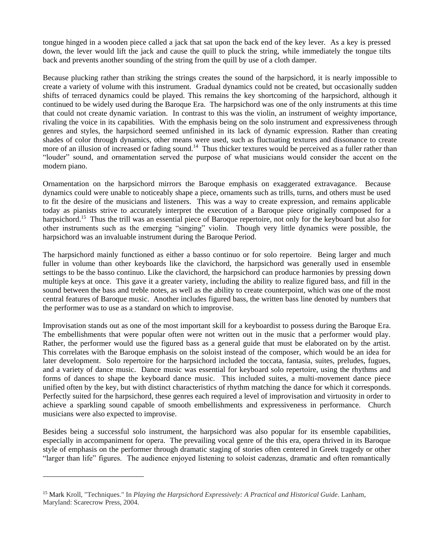tongue hinged in a wooden piece called a jack that sat upon the back end of the key lever. As a key is pressed down, the lever would lift the jack and cause the quill to pluck the string, while immediately the tongue tilts back and prevents another sounding of the string from the quill by use of a cloth damper.

Because plucking rather than striking the strings creates the sound of the harpsichord, it is nearly impossible to create a variety of volume with this instrument. Gradual dynamics could not be created, but occasionally sudden shifts of terraced dynamics could be played. This remains the key shortcoming of the harpsichord, although it continued to be widely used during the Baroque Era. The harpsichord was one of the only instruments at this time that could not create dynamic variation. In contrast to this was the violin, an instrument of weighty importance, rivaling the voice in its capabilities. With the emphasis being on the solo instrument and expressiveness through genres and styles, the harpsichord seemed unfinished in its lack of dynamic expression. Rather than creating shades of color through dynamics, other means were used, such as fluctuating textures and dissonance to create more of an illusion of increased or fading sound.<sup>14</sup> Thus thicker textures would be perceived as a fuller rather than "louder" sound, and ornamentation served the purpose of what musicians would consider the accent on the modern piano.

Ornamentation on the harpsichord mirrors the Baroque emphasis on exaggerated extravagance. Because dynamics could were unable to noticeably shape a piece, ornaments such as trills, turns, and others must be used to fit the desire of the musicians and listeners. This was a way to create expression, and remains applicable today as pianists strive to accurately interpret the execution of a Baroque piece originally composed for a harpsichord.<sup>15</sup> Thus the trill was an essential piece of Baroque repertoire, not only for the keyboard but also for other instruments such as the emerging "singing" violin. Though very little dynamics were possible, the harpsichord was an invaluable instrument during the Baroque Period.

The harpsichord mainly functioned as either a basso continuo or for solo repertoire. Being larger and much fuller in volume than other keyboards like the clavichord, the harpsichord was generally used in ensemble settings to be the basso continuo. Like the clavichord, the harpsichord can produce harmonies by pressing down multiple keys at once. This gave it a greater variety, including the ability to realize figured bass, and fill in the sound between the bass and treble notes, as well as the ability to create counterpoint, which was one of the most central features of Baroque music. Another includes figured bass, the written bass line denoted by numbers that the performer was to use as a standard on which to improvise.

Improvisation stands out as one of the most important skill for a keyboardist to possess during the Baroque Era. The embellishments that were popular often were not written out in the music that a performer would play. Rather, the performer would use the figured bass as a general guide that must be elaborated on by the artist. This correlates with the Baroque emphasis on the soloist instead of the composer, which would be an idea for later development. Solo repertoire for the harpsichord included the toccata, fantasia, suites, preludes, fugues, and a variety of dance music. Dance music was essential for keyboard solo repertoire, using the rhythms and forms of dances to shape the keyboard dance music. This included suites, a multi-movement dance piece unified often by the key, but with distinct characteristics of rhythm matching the dance for which it corresponds. Perfectly suited for the harpsichord, these genres each required a level of improvisation and virtuosity in order to achieve a sparkling sound capable of smooth embellishments and expressiveness in performance. Church musicians were also expected to improvise.

Besides being a successful solo instrument, the harpsichord was also popular for its ensemble capabilities, especially in accompaniment for opera. The prevailing vocal genre of the this era, opera thrived in its Baroque style of emphasis on the performer through dramatic staging of stories often centered in Greek tragedy or other "larger than life" figures. The audience enjoyed listening to soloist cadenzas, dramatic and often romantically

<sup>15</sup> Mark Kroll, "Techniques." In *Playing the Harpsichord Expressively: A Practical and Historical Guide*. Lanham, Maryland: Scarecrow Press, 2004.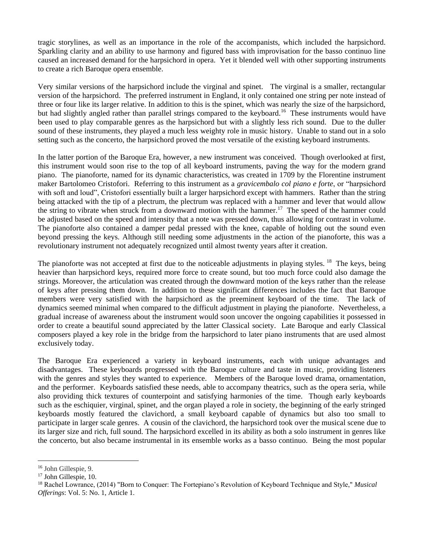tragic storylines, as well as an importance in the role of the accompanists, which included the harpsichord. Sparkling clarity and an ability to use harmony and figured bass with improvisation for the basso continuo line caused an increased demand for the harpsichord in opera. Yet it blended well with other supporting instruments to create a rich Baroque opera ensemble.

Very similar versions of the harpsichord include the virginal and spinet. The virginal is a smaller, rectangular version of the harpsichord. The preferred instrument in England, it only contained one string per note instead of three or four like its larger relative. In addition to this is the spinet, which was nearly the size of the harpsichord, but had slightly angled rather than parallel strings compared to the keyboard.<sup>16</sup> These instruments would have been used to play comparable genres as the harpsichord but with a slightly less rich sound. Due to the duller sound of these instruments, they played a much less weighty role in music history. Unable to stand out in a solo setting such as the concerto, the harpsichord proved the most versatile of the existing keyboard instruments.

In the latter portion of the Baroque Era, however, a new instrument was conceived. Though overlooked at first, this instrument would soon rise to the top of all keyboard instruments, paving the way for the modern grand piano. The pianoforte, named for its dynamic characteristics, was created in 1709 by the Florentine instrument maker Bartolomeo Cristofori. Referring to this instrument as a *gravicembalo col piano e forte*, or "harpsichord with soft and loud", Cristofori essentially built a larger harpsichord except with hammers. Rather than the string being attacked with the tip of a plectrum, the plectrum was replaced with a hammer and lever that would allow the string to vibrate when struck from a downward motion with the hammer.<sup>17</sup> The speed of the hammer could be adjusted based on the speed and intensity that a note was pressed down, thus allowing for contrast in volume. The pianoforte also contained a damper pedal pressed with the knee, capable of holding out the sound even beyond pressing the keys. Although still needing some adjustments in the action of the pianoforte, this was a revolutionary instrument not adequately recognized until almost twenty years after it creation.

The pianoforte was not accepted at first due to the noticeable adjustments in playing styles. <sup>18</sup> The keys, being heavier than harpsichord keys, required more force to create sound, but too much force could also damage the strings. Moreover, the articulation was created through the downward motion of the keys rather than the release of keys after pressing them down. In addition to these significant differences includes the fact that Baroque members were very satisfied with the harpsichord as the preeminent keyboard of the time. The lack of dynamics seemed minimal when compared to the difficult adjustment in playing the pianoforte. Nevertheless, a gradual increase of awareness about the instrument would soon uncover the ongoing capabilities it possessed in order to create a beautiful sound appreciated by the latter Classical society. Late Baroque and early Classical composers played a key role in the bridge from the harpsichord to later piano instruments that are used almost exclusively today.

The Baroque Era experienced a variety in keyboard instruments, each with unique advantages and disadvantages. These keyboards progressed with the Baroque culture and taste in music, providing listeners with the genres and styles they wanted to experience. Members of the Baroque loved drama, ornamentation, and the performer. Keyboards satisfied these needs, able to accompany theatrics, such as the opera seria, while also providing thick textures of counterpoint and satisfying harmonies of the time. Though early keyboards such as the eschiquier, virginal, spinet, and the organ played a role in society, the beginning of the early stringed keyboards mostly featured the clavichord, a small keyboard capable of dynamics but also too small to participate in larger scale genres. A cousin of the clavichord, the harpsichord took over the musical scene due to its larger size and rich, full sound. The harpsichord excelled in its ability as both a solo instrument in genres like the concerto, but also became instrumental in its ensemble works as a basso continuo. Being the most popular

<sup>16</sup> John Gillespie, 9.

<sup>&</sup>lt;sup>17</sup> John Gillespie, 10.

<sup>18</sup> Rachel Lowrance, (2014) "Born to Conquer: The Fortepiano's Revolution of Keyboard Technique and Style," *Musical Offerings*: Vol. 5: No. 1, Article 1.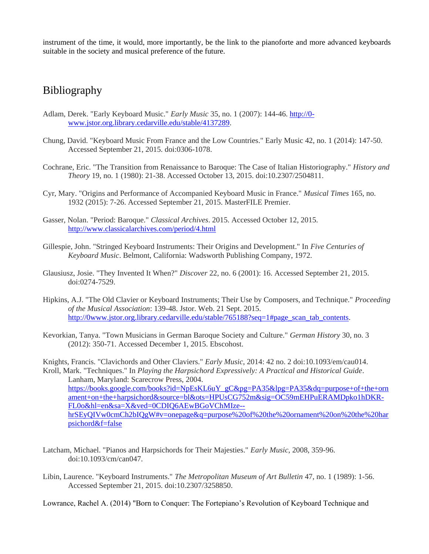instrument of the time, it would, more importantly, be the link to the pianoforte and more advanced keyboards suitable in the society and musical preference of the future.

## Bibliography

- Adlam, Derek. "Early Keyboard Music." *Early Music* 35, no. 1 (2007): 144-46. [http://0](http://0-www.jstor.org.library.cedarville.edu/stable/4137289) [www.jstor.org.library.cedarville.edu/stable/4137289.](http://0-www.jstor.org.library.cedarville.edu/stable/4137289)
- Chung, David. "Keyboard Music From France and the Low Countries." Early Music 42, no. 1 (2014): 147-50. Accessed September 21, 2015. doi:0306-1078.
- Cochrane, Eric. "The Transition from Renaissance to Baroque: The Case of Italian Historiography." *History and Theory* 19, no. 1 (1980): 21-38. Accessed October 13, 2015. doi:10.2307/2504811.
- Cyr, Mary. "Origins and Performance of Accompanied Keyboard Music in France." *Musical Times* 165, no. 1932 (2015): 7-26. Accessed September 21, 2015. MasterFILE Premier.
- Gasser, Nolan. "Period: Baroque." *Classical Archives*. 2015. Accessed October 12, 2015. <http://www.classicalarchives.com/period/4.html>
- Gillespie, John. "Stringed Keyboard Instruments: Their Origins and Development." In *Five Centuries of Keyboard Music*. Belmont, California: Wadsworth Publishing Company, 1972.
- Glausiusz, Josie. "They Invented It When?" *Discover* 22, no. 6 (2001): 16. Accessed September 21, 2015. doi:0274-7529.
- Hipkins, A.J. "The Old Clavier or Keyboard Instruments; Their Use by Composers, and Technique." *Proceeding of the Musical Association*: 139-48. Jstor. Web. 21 Sept. 2015. [http://0www.jstor.org.library.cedarville.edu/stable/765188?seq=1#page\\_scan\\_tab\\_contents.](http://0www.jstor.org.library.cedarville.edu/stable/765188?seq=1#page_scan_tab_contents)
- Kevorkian, Tanya. "Town Musicians in German Baroque Society and Culture." *German History* 30, no. 3 (2012): 350-71. Accessed December 1, 2015. Ebscohost.

Knights, Francis. "Clavichords and Other Claviers." *Early Music*, 2014: 42 no. 2 doi:10.1093/em/cau014. Kroll, Mark. "Techniques." In *Playing the Harpsichord Expressively: A Practical and Historical Guide*.

Lanham, Maryland: Scarecrow Press, 2004. [https://books.google.com/books?id=NpEsKL6uY\\_gC&pg=PA35&lpg=PA35&dq=purpose+of+the+orn](https://books.google.com/books?id=NpEsKL6uY_gC&pg=PA35&lpg=PA35&dq=purpose+of+the+ornament+on+the+harpsichord&source=bl&ots=HPUsCG752m&sig=OC59mEHPuERAMDpko1hDKR-FL0o&hl=en&sa=X&ved=0CDIQ6AEwBGoVChMIze--hrSEyQIVw0cmCh2bIQgW#v=onepage&q=purpose%20of%20the%20ornament%20on%20the%20harpsichord&f=false) [ament+on+the+harpsichord&source=bl&ots=HPUsCG752m&sig=OC59mEHPuERAMDpko1hDKR-](https://books.google.com/books?id=NpEsKL6uY_gC&pg=PA35&lpg=PA35&dq=purpose+of+the+ornament+on+the+harpsichord&source=bl&ots=HPUsCG752m&sig=OC59mEHPuERAMDpko1hDKR-FL0o&hl=en&sa=X&ved=0CDIQ6AEwBGoVChMIze--hrSEyQIVw0cmCh2bIQgW#v=onepage&q=purpose%20of%20the%20ornament%20on%20the%20harpsichord&f=false)[FL0o&hl=en&sa=X&ved=0CDIQ6AEwBGoVChMIze-](https://books.google.com/books?id=NpEsKL6uY_gC&pg=PA35&lpg=PA35&dq=purpose+of+the+ornament+on+the+harpsichord&source=bl&ots=HPUsCG752m&sig=OC59mEHPuERAMDpko1hDKR-FL0o&hl=en&sa=X&ved=0CDIQ6AEwBGoVChMIze--hrSEyQIVw0cmCh2bIQgW#v=onepage&q=purpose%20of%20the%20ornament%20on%20the%20harpsichord&f=false) [hrSEyQIVw0cmCh2bIQgW#v=onepage&q=purpose%20of%20the%20ornament%20on%20the%20har](https://books.google.com/books?id=NpEsKL6uY_gC&pg=PA35&lpg=PA35&dq=purpose+of+the+ornament+on+the+harpsichord&source=bl&ots=HPUsCG752m&sig=OC59mEHPuERAMDpko1hDKR-FL0o&hl=en&sa=X&ved=0CDIQ6AEwBGoVChMIze--hrSEyQIVw0cmCh2bIQgW#v=onepage&q=purpose%20of%20the%20ornament%20on%20the%20harpsichord&f=false) [psichord&f=false](https://books.google.com/books?id=NpEsKL6uY_gC&pg=PA35&lpg=PA35&dq=purpose+of+the+ornament+on+the+harpsichord&source=bl&ots=HPUsCG752m&sig=OC59mEHPuERAMDpko1hDKR-FL0o&hl=en&sa=X&ved=0CDIQ6AEwBGoVChMIze--hrSEyQIVw0cmCh2bIQgW#v=onepage&q=purpose%20of%20the%20ornament%20on%20the%20harpsichord&f=false)

- Latcham, Michael. "Pianos and Harpsichords for Their Majesties." *Early Music*, 2008, 359-96. doi:10.1093/cm/can047.
- Libin, Laurence. "Keyboard Instruments." *The Metropolitan Museum of Art Bulletin* 47, no. 1 (1989): 1-56. Accessed September 21, 2015. doi:10.2307/3258850.

Lowrance, Rachel A. (2014) "Born to Conquer: The Fortepiano's Revolution of Keyboard Technique and